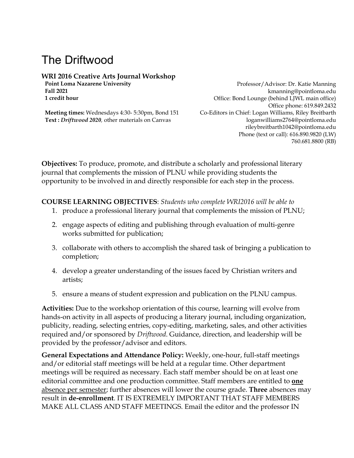# The Driftwood

# **WRI 2016 Creative Arts Journal Workshop**

**Point Loma Nazarene University Professor/Advisor: Dr. Katie Manning Fall 2021** kmanning@pointloma.edu **1 credit hour 1 1 credit hour office: Bond Lounge (behind LJWL main office)** Office phone: 619.849.2432 **Meeting times:** Wednesdays 4:30- 5:30pm, Bond 151 Co-Editors in Chief: Logan Williams, Riley Breitbarth **Text :** *Driftwood 2020,* other materials on Canvas loganwilliams2764@pointloma.edu rileybreitbarth1042@pointloma.edu Phone (text or call): 616.890.9820 (LW) 760.681.8800 (RB)

**Objectives:** To produce, promote, and distribute a scholarly and professional literary journal that complements the mission of PLNU while providing students the opportunity to be involved in and directly responsible for each step in the process.

# **COURSE LEARNING OBJECTIVES**: *Students who complete WRI2016 will be able to*

- 1. produce a professional literary journal that complements the mission of PLNU;
- 2. engage aspects of editing and publishing through evaluation of multi-genre works submitted for publication;
- 3. collaborate with others to accomplish the shared task of bringing a publication to completion;
- 4. develop a greater understanding of the issues faced by Christian writers and artists;
- 5. ensure a means of student expression and publication on the PLNU campus.

**Activities:** Due to the workshop orientation of this course, learning will evolve from hands-on activity in all aspects of producing a literary journal, including organization, publicity, reading, selecting entries, copy-editing, marketing, sales, and other activities required and/or sponsored by *Driftwood*. Guidance, direction, and leadership will be provided by the professor/advisor and editors.

**General Expectations and Attendance Policy:** Weekly, one-hour, full-staff meetings and/or editorial staff meetings will be held at a regular time. Other department meetings will be required as necessary. Each staff member should be on at least one editorial committee and one production committee. Staff members are entitled to **one** absence per semester; further absences will lower the course grade. **Three** absences may result in **de-enrollment**. IT IS EXTREMELY IMPORTANT THAT STAFF MEMBERS MAKE ALL CLASS AND STAFF MEETINGS. Email the editor and the professor IN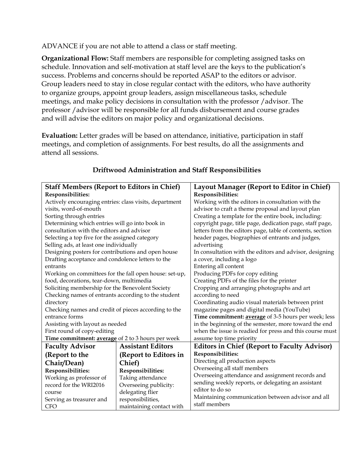ADVANCE if you are not able to attend a class or staff meeting.

**Organizational Flow:** Staff members are responsible for completing assigned tasks on schedule. Innovation and self-motivation at staff level are the keys to the publication's success. Problems and concerns should be reported ASAP to the editors or advisor. Group leaders need to stay in close regular contact with the editors, who have authority to organize groups, appoint group leaders, assign miscellaneous tasks, schedule meetings, and make policy decisions in consultation with the professor /advisor. The professor /advisor will be responsible for all funds disbursement and course grades and will advise the editors on major policy and organizational decisions.

**Evaluation:** Letter grades will be based on attendance, initiative, participation in staff meetings, and completion of assignments. For best results, do all the assignments and attend all sessions.

| <b>Staff Members (Report to Editors in Chief)</b>      |                          | Layout Manager (Report to Editor in Chief)                |  |  |
|--------------------------------------------------------|--------------------------|-----------------------------------------------------------|--|--|
| Responsibilities:                                      |                          | Responsibilities:                                         |  |  |
| Actively encouraging entries: class visits, department |                          | Working with the editors in consultation with the         |  |  |
| visits, word-of-mouth                                  |                          | advisor to craft a theme proposal and layout plan         |  |  |
| Sorting through entries                                |                          | Creating a template for the entire book, including:       |  |  |
| Determining which entries will go into book in         |                          | copyright page, title page, dedication page, staff page,  |  |  |
| consultation with the editors and advisor              |                          | letters from the editors page, table of contents, section |  |  |
| Selecting a top five for the assigned category         |                          | header pages, biographies of entrants and judges,         |  |  |
| Selling ads, at least one individually                 |                          | advertising                                               |  |  |
| Designing posters for contributions and open house     |                          | In consultation with the editors and advisor, designing   |  |  |
| Drafting acceptance and condolence letters to the      |                          | a cover, including a logo                                 |  |  |
| entrants                                               |                          | Entering all content                                      |  |  |
| Working on committees for the fall open house: set-up, |                          | Producing PDFs for copy editing                           |  |  |
| food, decorations, tear-down, multimedia               |                          | Creating PDFs of the files for the printer                |  |  |
| Soliciting membership for the Benevolent Society       |                          | Cropping and arranging photographs and art                |  |  |
| Checking names of entrants according to the student    |                          | according to need                                         |  |  |
| directory                                              |                          | Coordinating audio visual materials between print         |  |  |
| Checking names and credit of pieces according to the   |                          | magazine pages and digital media (YouTube)                |  |  |
| entrance forms                                         |                          | Time commitment: average of 3-5 hours per week; less      |  |  |
| Assisting with layout as needed                        |                          | in the beginning of the semester, more toward the end     |  |  |
| First round of copy-editing                            |                          | when the issue is readied for press and this course must  |  |  |
| Time commitment: average of 2 to 3 hours per week      |                          | assume top time priority                                  |  |  |
| <b>Faculty Advisor</b>                                 | <b>Assistant Editors</b> | <b>Editors in Chief (Report to Faculty Advisor)</b>       |  |  |
| (Report to the                                         | (Report to Editors in    | Responsibilities:                                         |  |  |
| Chair/Dean)                                            | Chief)                   | Directing all production aspects                          |  |  |
| Responsibilities:                                      | Responsibilities:        | Overseeing all staff members                              |  |  |
| Working as professor of                                | Taking attendance        | Overseeing attendance and assignment records and          |  |  |
| record for the WRI2016                                 | Overseeing publicity:    | sending weekly reports, or delegating an assistant        |  |  |
| course                                                 | delegating flier         | editor to do so                                           |  |  |
| responsibilities,<br>Serving as treasurer and          |                          | Maintaining communication between advisor and all         |  |  |
| <b>CFO</b>                                             | maintaining contact with | staff members                                             |  |  |

# **Driftwood Administration and Staff Responsibilities**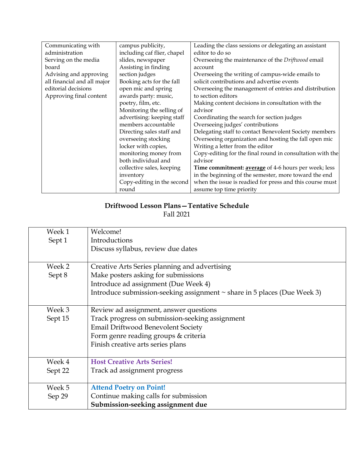| Communicating with          | campus publicity,           | Leading the class sessions or delegating an assistant     |
|-----------------------------|-----------------------------|-----------------------------------------------------------|
| administration              | including caf flier, chapel | editor to do so                                           |
| Serving on the media        | slides, newspaper           | Overseeing the maintenance of the Driftwood email         |
| board                       | Assisting in finding        | account                                                   |
| Advising and approving      | section judges              | Overseeing the writing of campus-wide emails to           |
| all financial and all major | Booking acts for the fall   | solicit contributions and advertise events                |
| editorial decisions         | open mic and spring         | Overseeing the management of entries and distribution     |
| Approving final content     | awards party: music,        | to section editors                                        |
|                             | poetry, film, etc.          | Making content decisions in consultation with the         |
|                             | Monitoring the selling of   | advisor                                                   |
|                             | advertising: keeping staff  | Coordinating the search for section judges                |
|                             | members accountable         | Overseeing judges' contributions                          |
|                             | Directing sales staff and   | Delegating staff to contact Benevolent Society members    |
|                             | overseeing stocking         | Overseeing organization and hosting the fall open mic     |
|                             | locker with copies,         | Writing a letter from the editor                          |
|                             | monitoring money from       | Copy-editing for the final round in consultation with the |
|                             | both individual and         | advisor                                                   |
|                             | collective sales, keeping   | Time commitment: average of 4-6 hours per week; less      |
|                             | inventory                   | in the beginning of the semester, more toward the end     |
|                             | Copy-editing in the second  | when the issue is readied for press and this course must  |
|                             | round                       | assume top time priority                                  |

# **Driftwood Lesson Plans—Tentative Schedule**

Fall 2021

| Week 1  | Welcome!                                                                      |
|---------|-------------------------------------------------------------------------------|
| Sept 1  | Introductions                                                                 |
|         | Discuss syllabus, review due dates                                            |
|         |                                                                               |
| Week 2  | Creative Arts Series planning and advertising                                 |
| Sept 8  | Make posters asking for submissions                                           |
|         | Introduce ad assignment (Due Week 4)                                          |
|         | Introduce submission-seeking assignment $\sim$ share in 5 places (Due Week 3) |
|         |                                                                               |
| Week 3  | Review ad assignment, answer questions                                        |
| Sept 15 | Track progress on submission-seeking assignment                               |
|         | <b>Email Driftwood Benevolent Society</b>                                     |
|         | Form genre reading groups & criteria                                          |
|         | Finish creative arts series plans                                             |
|         |                                                                               |
| Week 4  | <b>Host Creative Arts Series!</b>                                             |
| Sept 22 | Track ad assignment progress                                                  |
|         |                                                                               |
| Week 5  | <b>Attend Poetry on Point!</b>                                                |
| Sep 29  | Continue making calls for submission                                          |
|         | Submission-seeking assignment due                                             |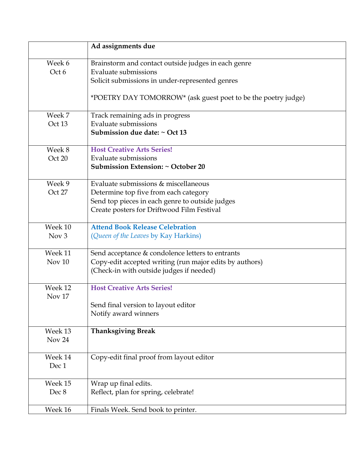|                   | Ad assignments due                                            |
|-------------------|---------------------------------------------------------------|
| Week 6            | Brainstorm and contact outside judges in each genre           |
| Oct 6             | <b>Evaluate submissions</b>                                   |
|                   | Solicit submissions in under-represented genres               |
|                   |                                                               |
|                   | *POETRY DAY TOMORROW* (ask guest poet to be the poetry judge) |
| Week 7            | Track remaining ads in progress                               |
| Oct 13            | Evaluate submissions                                          |
|                   | Submission due date: ~ Oct 13                                 |
| Week 8            | <b>Host Creative Arts Series!</b>                             |
| Oct 20            | <b>Evaluate submissions</b>                                   |
|                   | Submission Extension: $\sim$ October 20                       |
| Week 9            | Evaluate submissions & miscellaneous                          |
| Oct 27            | Determine top five from each category                         |
|                   | Send top pieces in each genre to outside judges               |
|                   | Create posters for Driftwood Film Festival                    |
| Week 10           | <b>Attend Book Release Celebration</b>                        |
| Nov <sub>3</sub>  | (Queen of the Leaves by Kay Harkins)                          |
| Week 11           | Send acceptance & condolence letters to entrants              |
| Nov <sub>10</sub> | Copy-edit accepted writing (run major edits by authors)       |
|                   | (Check-in with outside judges if needed)                      |
| Week 12           | <b>Host Creative Arts Series!</b>                             |
| Nov <sub>17</sub> |                                                               |
|                   | Send final version to layout editor                           |
|                   | Notify award winners                                          |
| Week 13           | <b>Thanksgiving Break</b>                                     |
| Nov 24            |                                                               |
| Week 14           | Copy-edit final proof from layout editor                      |
| Dec 1             |                                                               |
|                   |                                                               |
| Week 15           | Wrap up final edits.                                          |
| Dec 8             | Reflect, plan for spring, celebrate!                          |
| Week 16           | Finals Week. Send book to printer.                            |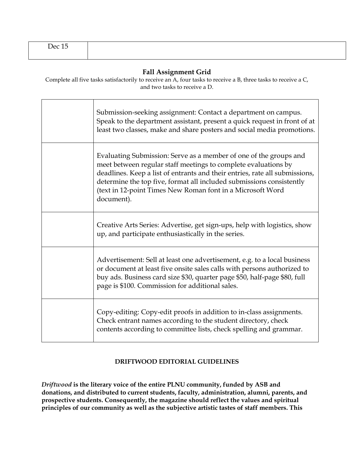#### **Fall Assignment Grid**

Complete all five tasks satisfactorily to receive an A, four tasks to receive a B, three tasks to receive a C, and two tasks to receive a D.

| Submission-seeking assignment: Contact a department on campus.<br>Speak to the department assistant, present a quick request in front of at<br>least two classes, make and share posters and social media promotions.                                                                                                                                                  |
|------------------------------------------------------------------------------------------------------------------------------------------------------------------------------------------------------------------------------------------------------------------------------------------------------------------------------------------------------------------------|
| Evaluating Submission: Serve as a member of one of the groups and<br>meet between regular staff meetings to complete evaluations by<br>deadlines. Keep a list of entrants and their entries, rate all submissions,<br>determine the top five, format all included submissions consistently<br>(text in 12-point Times New Roman font in a Microsoft Word<br>document). |
| Creative Arts Series: Advertise, get sign-ups, help with logistics, show<br>up, and participate enthusiastically in the series.                                                                                                                                                                                                                                        |
| Advertisement: Sell at least one advertisement, e.g. to a local business<br>or document at least five onsite sales calls with persons authorized to<br>buy ads. Business card size \$30, quarter page \$50, half-page \$80, full<br>page is \$100. Commission for additional sales.                                                                                    |
| Copy-editing: Copy-edit proofs in addition to in-class assignments.<br>Check entrant names according to the student directory, check<br>contents according to committee lists, check spelling and grammar.                                                                                                                                                             |

#### **DRIFTWOOD EDITORIAL GUIDELINES**

*Driftwood* **is the literary voice of the entire PLNU community, funded by ASB and donations, and distributed to current students, faculty, administration, alumni, parents, and prospective students. Consequently, the magazine should reflect the values and spiritual principles of our community as well as the subjective artistic tastes of staff members. This**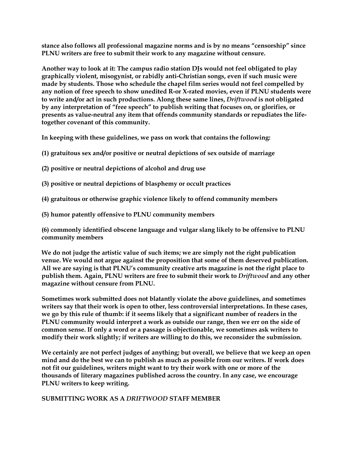**stance also follows all professional magazine norms and is by no means "censorship" since PLNU writers are free to submit their work to any magazine without censure.**

**Another way to look at it: The campus radio station DJs would not feel obligated to play graphically violent, misogynist, or rabidly anti-Christian songs, even if such music were made by students. Those who schedule the chapel film series would not feel compelled by any notion of free speech to show unedited R-or X-rated movies, even if PLNU students were to write and/or act in such productions. Along these same lines,** *Driftwood* **is not obligated by any interpretation of "free speech" to publish writing that focuses on, or glorifies, or presents as value-neutral any item that offends community standards or repudiates the lifetogether covenant of this community.** 

**In keeping with these guidelines, we pass on work that contains the following:**

- **(1) gratuitous sex and/or positive or neutral depictions of sex outside of marriage**
- **(2) positive or neutral depictions of alcohol and drug use**
- **(3) positive or neutral depictions of blasphemy or occult practices**
- **(4) gratuitous or otherwise graphic violence likely to offend community members**
- **(5) humor patently offensive to PLNU community members**

**(6) commonly identified obscene language and vulgar slang likely to be offensive to PLNU community members**

**We do not judge the artistic value of such items; we are simply not the right publication venue. We would not argue against the proposition that some of them deserved publication. All we are saying is that PLNU's community creative arts magazine is not the right place to publish them. Again, PLNU writers are free to submit their work to** *Driftwood* **and any other magazine without censure from PLNU.** 

**Sometimes work submitted does not blatantly violate the above guidelines, and sometimes writers say that their work is open to other, less controversial interpretations. In these cases, we go by this rule of thumb: if it seems likely that a significant number of readers in the PLNU community would interpret a work as outside our range, then we err on the side of common sense. If only a word or a passage is objectionable, we sometimes ask writers to modify their work slightly; if writers are willing to do this, we reconsider the submission.**

**We certainly are not perfect judges of anything; but overall, we believe that we keep an open mind and do the best we can to publish as much as possible from our writers. If work does not fit our guidelines, writers might want to try their work with one or more of the thousands of literary magazines published across the country. In any case, we encourage PLNU writers to keep writing.**

**SUBMITTING WORK AS A** *DRIFTWOOD* **STAFF MEMBER**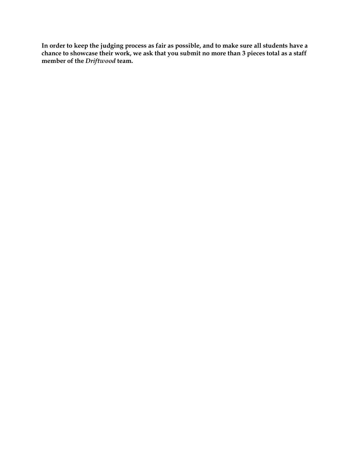**In order to keep the judging process as fair as possible, and to make sure all students have a chance to showcase their work, we ask that you submit no more than 3 pieces total as a staff member of the** *Driftwood* **team.**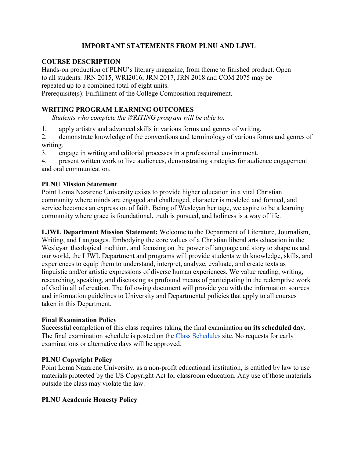### **IMPORTANT STATEMENTS FROM PLNU AND LJWL**

#### **COURSE DESCRIPTION**

Hands-on production of PLNU's literary magazine, from theme to finished product. Open to all students. JRN 2015, WRI2016, JRN 2017, JRN 2018 and COM 2075 may be repeated up to a combined total of eight units. Prerequisite(s): Fulfillment of the College Composition requirement.

#### **WRITING PROGRAM LEARNING OUTCOMES**

*Students who complete the WRITING program will be able to:*

1. apply artistry and advanced skills in various forms and genres of writing.

2. demonstrate knowledge of the conventions and terminology of various forms and genres of writing.

3. engage in writing and editorial processes in a professional environment.

4. present written work to live audiences, demonstrating strategies for audience engagement and oral communication.

#### **PLNU Mission Statement**

Point Loma Nazarene University exists to provide higher education in a vital Christian community where minds are engaged and challenged, character is modeled and formed, and service becomes an expression of faith. Being of Wesleyan heritage, we aspire to be a learning community where grace is foundational, truth is pursued, and holiness is a way of life.

**LJWL Department Mission Statement:** Welcome to the Department of Literature, Journalism, Writing, and Languages. Embodying the core values of a Christian liberal arts education in the Wesleyan theological tradition, and focusing on the power of language and story to shape us and our world, the LJWL Department and programs will provide students with knowledge, skills, and experiences to equip them to understand, interpret, analyze, evaluate, and create texts as linguistic and/or artistic expressions of diverse human experiences. We value reading, writing, researching, speaking, and discussing as profound means of participating in the redemptive work of God in all of creation. The following document will provide you with the information sources and information guidelines to University and Departmental policies that apply to all courses taken in this Department.

#### **Final Examination Policy**

Successful completion of this class requires taking the final examination **on its scheduled day**. The final examination schedule is posted on the [Class Schedules](http://www.pointloma.edu/experience/academics/class-schedules) site. No requests for early examinations or alternative days will be approved.

#### **PLNU Copyright Policy**

Point Loma Nazarene University, as a non-profit educational institution, is entitled by law to use materials protected by the US Copyright Act for classroom education. Any use of those materials outside the class may violate the law.

#### **PLNU Academic Honesty Policy**